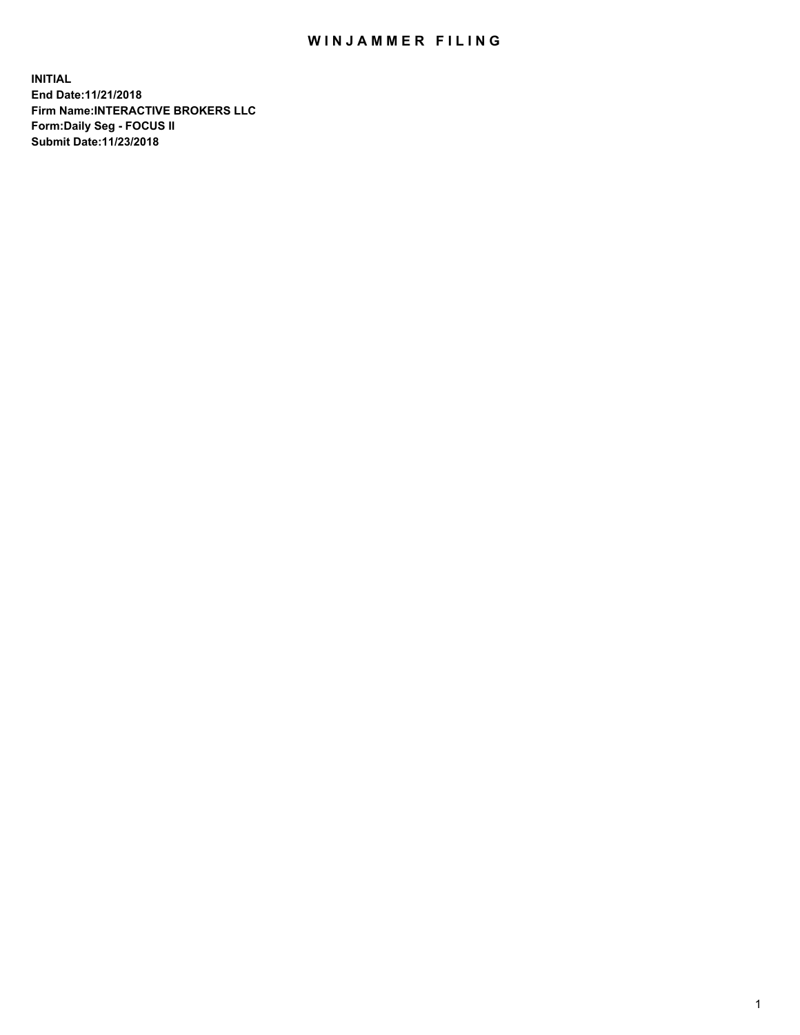## WIN JAMMER FILING

**INITIAL End Date:11/21/2018 Firm Name:INTERACTIVE BROKERS LLC Form:Daily Seg - FOCUS II Submit Date:11/23/2018**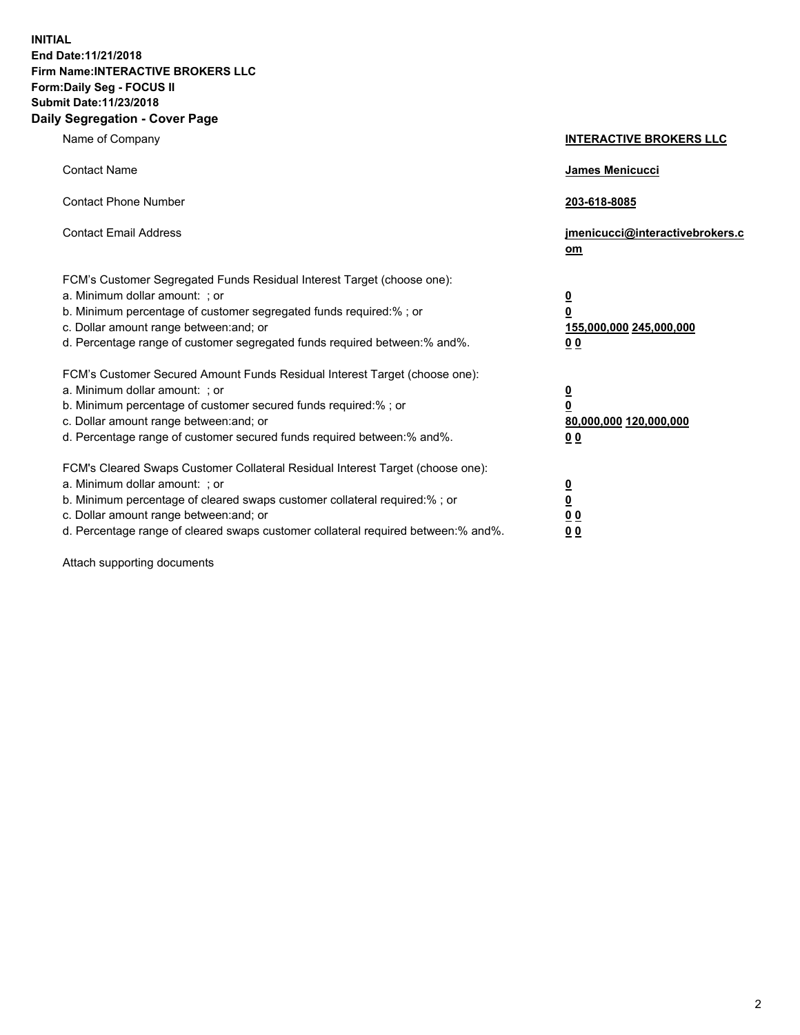**INITIAL End Date:11/21/2018 Firm Name:INTERACTIVE BROKERS LLC Form:Daily Seg - FOCUS II Submit Date:11/23/2018 Daily Segregation - Cover Page**

| Name of Company                                                                                                                                                                                                                                                                                                                | <b>INTERACTIVE BROKERS LLC</b>                                                                  |
|--------------------------------------------------------------------------------------------------------------------------------------------------------------------------------------------------------------------------------------------------------------------------------------------------------------------------------|-------------------------------------------------------------------------------------------------|
| <b>Contact Name</b>                                                                                                                                                                                                                                                                                                            | James Menicucci                                                                                 |
| <b>Contact Phone Number</b>                                                                                                                                                                                                                                                                                                    | 203-618-8085                                                                                    |
| <b>Contact Email Address</b>                                                                                                                                                                                                                                                                                                   | jmenicucci@interactivebrokers.c<br>om                                                           |
| FCM's Customer Segregated Funds Residual Interest Target (choose one):<br>a. Minimum dollar amount: ; or<br>b. Minimum percentage of customer segregated funds required:%; or<br>c. Dollar amount range between: and; or<br>d. Percentage range of customer segregated funds required between:% and%.                          | $\overline{\mathbf{0}}$<br>$\overline{\mathbf{0}}$<br>155,000,000 245,000,000<br>0 <sub>0</sub> |
| FCM's Customer Secured Amount Funds Residual Interest Target (choose one):<br>a. Minimum dollar amount: ; or<br>b. Minimum percentage of customer secured funds required:% ; or<br>c. Dollar amount range between: and; or<br>d. Percentage range of customer secured funds required between:% and%.                           | $\overline{\mathbf{0}}$<br>$\overline{\mathbf{0}}$<br>80,000,000 120,000,000<br>0 <sub>0</sub>  |
| FCM's Cleared Swaps Customer Collateral Residual Interest Target (choose one):<br>a. Minimum dollar amount: ; or<br>b. Minimum percentage of cleared swaps customer collateral required:% ; or<br>c. Dollar amount range between: and; or<br>d. Percentage range of cleared swaps customer collateral required between:% and%. | $\overline{\mathbf{0}}$<br>$\underline{\mathbf{0}}$<br>0 <sub>0</sub><br>0 <sub>0</sub>         |

Attach supporting documents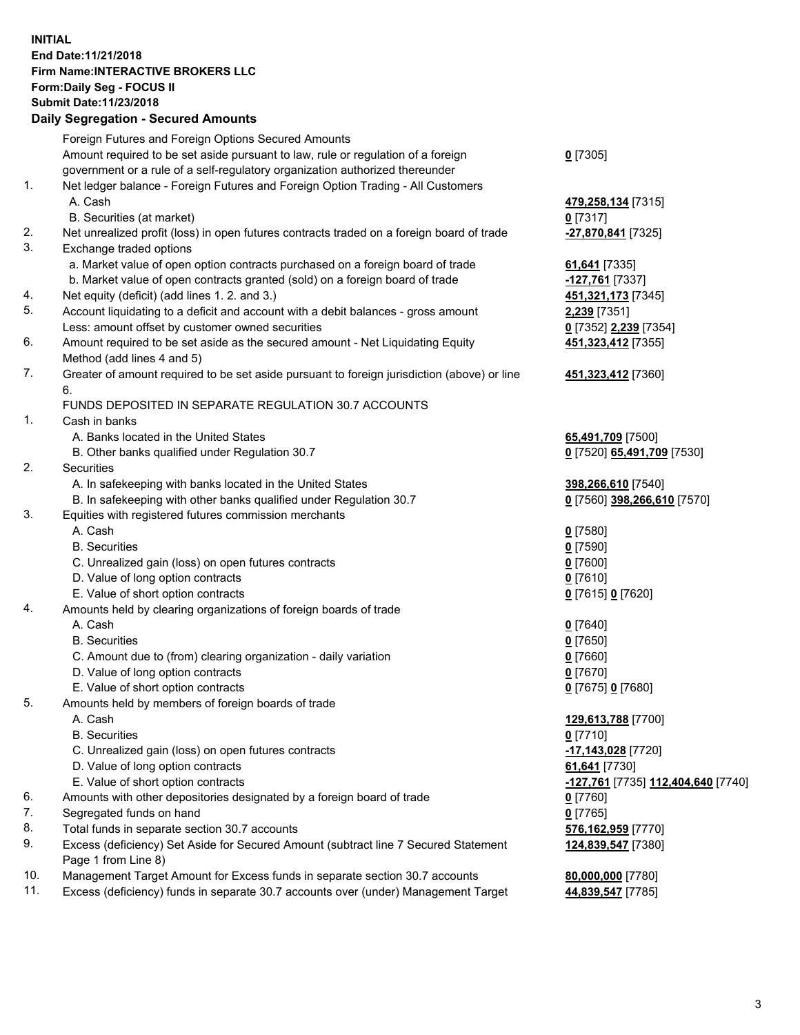## **INITIAL End Date:11/21/2018 Firm Name:INTERACTIVE BROKERS LLC Form:Daily Seg - FOCUS II Submit Date:11/23/2018 Daily Segregation - Secured Amounts**

|     | Daily Jegregation - Jeculed Aniounts                                                        |                                    |
|-----|---------------------------------------------------------------------------------------------|------------------------------------|
|     | Foreign Futures and Foreign Options Secured Amounts                                         |                                    |
|     | Amount required to be set aside pursuant to law, rule or regulation of a foreign            | $0$ [7305]                         |
|     | government or a rule of a self-regulatory organization authorized thereunder                |                                    |
| 1.  | Net ledger balance - Foreign Futures and Foreign Option Trading - All Customers             |                                    |
|     | A. Cash                                                                                     | 479,258,134 [7315]                 |
|     | B. Securities (at market)                                                                   | $0$ [7317]                         |
| 2.  | Net unrealized profit (loss) in open futures contracts traded on a foreign board of trade   | -27,870,841 [7325]                 |
| 3.  | Exchange traded options                                                                     |                                    |
|     | a. Market value of open option contracts purchased on a foreign board of trade              | 61,641 [7335]                      |
|     | b. Market value of open contracts granted (sold) on a foreign board of trade                | -127,761 [7337]                    |
| 4.  | Net equity (deficit) (add lines 1.2. and 3.)                                                | 451, 321, 173 [7345]               |
| 5.  | Account liquidating to a deficit and account with a debit balances - gross amount           | 2,239 [7351]                       |
|     | Less: amount offset by customer owned securities                                            | 0 [7352] 2,239 [7354]              |
| 6.  | Amount required to be set aside as the secured amount - Net Liquidating Equity              | 451,323,412 [7355]                 |
|     | Method (add lines 4 and 5)                                                                  |                                    |
| 7.  | Greater of amount required to be set aside pursuant to foreign jurisdiction (above) or line | 451, 323, 412 [7360]               |
|     | 6.<br>FUNDS DEPOSITED IN SEPARATE REGULATION 30.7 ACCOUNTS                                  |                                    |
| 1.  | Cash in banks                                                                               |                                    |
|     | A. Banks located in the United States                                                       |                                    |
|     | B. Other banks qualified under Regulation 30.7                                              | 65,491,709 [7500]                  |
| 2.  | Securities                                                                                  | 0 [7520] 65,491,709 [7530]         |
|     | A. In safekeeping with banks located in the United States                                   | 398,266,610 [7540]                 |
|     | B. In safekeeping with other banks qualified under Regulation 30.7                          | 0 [7560] 398,266,610 [7570]        |
| 3.  | Equities with registered futures commission merchants                                       |                                    |
|     | A. Cash                                                                                     | $0$ [7580]                         |
|     | <b>B.</b> Securities                                                                        | $0$ [7590]                         |
|     | C. Unrealized gain (loss) on open futures contracts                                         | $0$ [7600]                         |
|     | D. Value of long option contracts                                                           | $0$ [7610]                         |
|     | E. Value of short option contracts                                                          | 0 [7615] 0 [7620]                  |
| 4.  | Amounts held by clearing organizations of foreign boards of trade                           |                                    |
|     | A. Cash                                                                                     | $0$ [7640]                         |
|     | <b>B.</b> Securities                                                                        | $0$ [7650]                         |
|     | C. Amount due to (from) clearing organization - daily variation                             | $0$ [7660]                         |
|     | D. Value of long option contracts                                                           | $0$ [7670]                         |
|     | E. Value of short option contracts                                                          | 0 [7675] 0 [7680]                  |
| 5.  | Amounts held by members of foreign boards of trade                                          |                                    |
|     | A. Cash                                                                                     | 129,613,788 [7700]                 |
|     | <b>B.</b> Securities                                                                        | $0$ [7710]                         |
|     | C. Unrealized gain (loss) on open futures contracts                                         | $-17,143,028$ [7720]               |
|     | D. Value of long option contracts                                                           | 61,641 [7730]                      |
|     | E. Value of short option contracts                                                          | -127,761 [7735] 112,404,640 [7740] |
| 6.  | Amounts with other depositories designated by a foreign board of trade                      | 0 [7760]                           |
| 7.  | Segregated funds on hand                                                                    | $0$ [7765]                         |
| 8.  | Total funds in separate section 30.7 accounts                                               | 576,162,959 [7770]                 |
| 9.  | Excess (deficiency) Set Aside for Secured Amount (subtract line 7 Secured Statement         | 124,839,547 [7380]                 |
|     | Page 1 from Line 8)                                                                         |                                    |
| 10. | Management Target Amount for Excess funds in separate section 30.7 accounts                 | 80,000,000 [7780]                  |
| 11. | Excess (deficiency) funds in separate 30.7 accounts over (under) Management Target          | 44,839,547 [7785]                  |
|     |                                                                                             |                                    |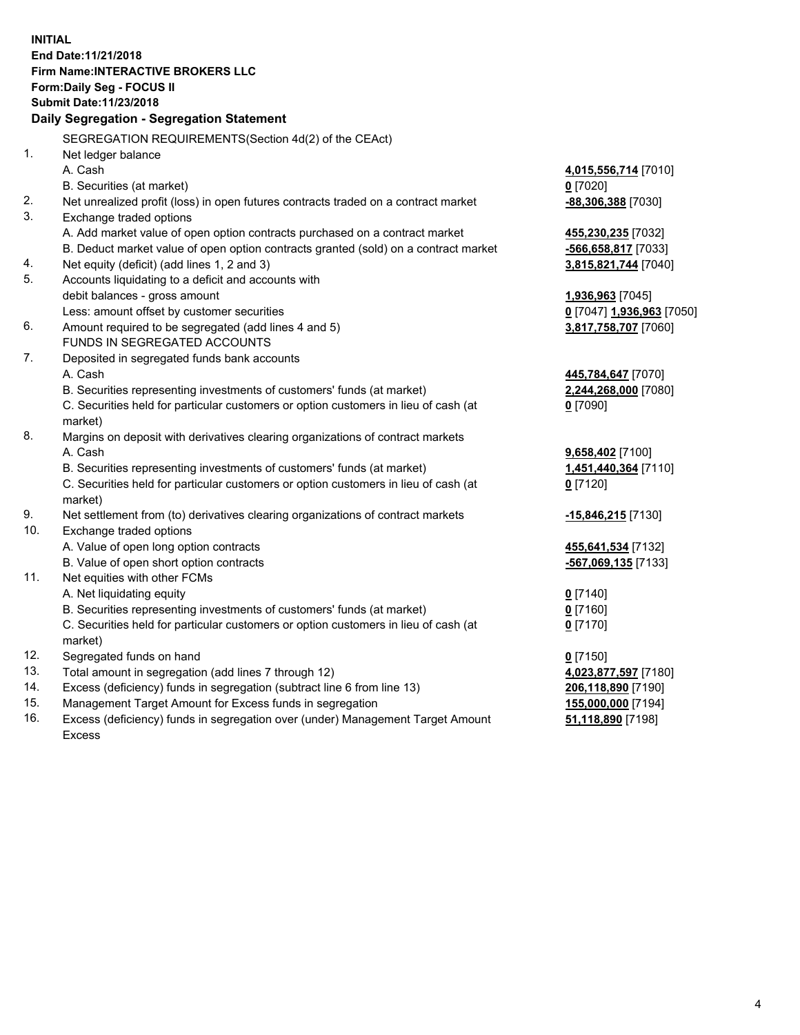**INITIAL End Date:11/21/2018 Firm Name:INTERACTIVE BROKERS LLC Form:Daily Seg - FOCUS II Submit Date:11/23/2018 Daily Segregation - Segregation Statement** SEGREGATION REQUIREMENTS(Section 4d(2) of the CEAct) 1. Net ledger balance A. Cash **4,015,556,714** [7010] B. Securities (at market) **0** [7020] 2. Net unrealized profit (loss) in open futures contracts traded on a contract market **-88,306,388** [7030] 3. Exchange traded options A. Add market value of open option contracts purchased on a contract market **455,230,235** [7032] B. Deduct market value of open option contracts granted (sold) on a contract market **-566,658,817** [7033] 4. Net equity (deficit) (add lines 1, 2 and 3) **3,815,821,744** [7040] 5. Accounts liquidating to a deficit and accounts with debit balances - gross amount **1,936,963** [7045] Less: amount offset by customer securities **0** [7047] **1,936,963** [7050] 6. Amount required to be segregated (add lines 4 and 5) **3,817,758,707** [7060] FUNDS IN SEGREGATED ACCOUNTS 7. Deposited in segregated funds bank accounts A. Cash **445,784,647** [7070] B. Securities representing investments of customers' funds (at market) **2,244,268,000** [7080] C. Securities held for particular customers or option customers in lieu of cash (at market) **0** [7090] 8. Margins on deposit with derivatives clearing organizations of contract markets A. Cash **9,658,402** [7100] B. Securities representing investments of customers' funds (at market) **1,451,440,364** [7110] C. Securities held for particular customers or option customers in lieu of cash (at market) **0** [7120] 9. Net settlement from (to) derivatives clearing organizations of contract markets **-15,846,215** [7130] 10. Exchange traded options A. Value of open long option contracts **455,641,534** [7132] B. Value of open short option contracts **-567,069,135** [7133] 11. Net equities with other FCMs A. Net liquidating equity **0** [7140] B. Securities representing investments of customers' funds (at market) **0** [7160] C. Securities held for particular customers or option customers in lieu of cash (at market) **0** [7170] 12. Segregated funds on hand **0** [7150] 13. Total amount in segregation (add lines 7 through 12) **4,023,877,597** [7180] 14. Excess (deficiency) funds in segregation (subtract line 6 from line 13) **206,118,890** [7190] 15. Management Target Amount for Excess funds in segregation **155,000,000** [7194] **51,118,890** [7198]

16. Excess (deficiency) funds in segregation over (under) Management Target Amount Excess